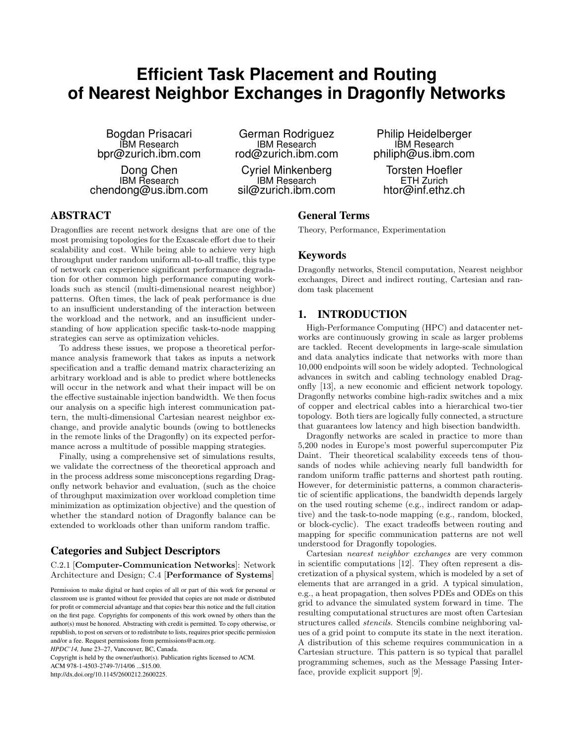# **Efficient Task Placement and Routing of Nearest Neighbor Exchanges in Dragonfly Networks**

Bogdan Prisacari IBM Research bpr@zurich.ibm.com

Dong Chen IBM Research chendong@us.ibm.com

German Rodriguez IBM Research rod@zurich.ibm.com

Cyriel Minkenberg IBM Research sil@zurich.ibm.com

Philip Heidelberger IBM Research philiph@us.ibm.com

Torsten Hoefler ETH Zurich htor@inf.ethz.ch

# ABSTRACT

Dragonflies are recent network designs that are one of the most promising topologies for the Exascale effort due to their scalability and cost. While being able to achieve very high throughput under random uniform all-to-all traffic, this type of network can experience significant performance degradation for other common high performance computing workloads such as stencil (multi-dimensional nearest neighbor) patterns. Often times, the lack of peak performance is due to an insufficient understanding of the interaction between the workload and the network, and an insufficient understanding of how application specific task-to-node mapping strategies can serve as optimization vehicles.

To address these issues, we propose a theoretical performance analysis framework that takes as inputs a network specification and a traffic demand matrix characterizing an arbitrary workload and is able to predict where bottlenecks will occur in the network and what their impact will be on the effective sustainable injection bandwidth. We then focus our analysis on a specific high interest communication pattern, the multi-dimensional Cartesian nearest neighbor exchange, and provide analytic bounds (owing to bottlenecks in the remote links of the Dragonfly) on its expected performance across a multitude of possible mapping strategies.

Finally, using a comprehensive set of simulations results, we validate the correctness of the theoretical approach and in the process address some misconceptions regarding Dragonfly network behavior and evaluation, (such as the choice of throughput maximization over workload completion time minimization as optimization objective) and the question of whether the standard notion of Dragonfly balance can be extended to workloads other than uniform random traffic.

# Categories and Subject Descriptors

C.2.1 [Computer-Communication Networks]: Network Architecture and Design; C.4 [Performance of Systems]

Copyright is held by the owner/author(s). Publication rights licensed to ACM.

ACM 978-1-4503-2749-7/14/06 ...\$15.00.

http://dx.doi.org/10.1145/2600212.2600225.

## General Terms

Theory, Performance, Experimentation

## Keywords

Dragonfly networks, Stencil computation, Nearest neighbor exchanges, Direct and indirect routing, Cartesian and random task placement

# 1. INTRODUCTION

High-Performance Computing (HPC) and datacenter networks are continuously growing in scale as larger problems are tackled. Recent developments in large-scale simulation and data analytics indicate that networks with more than 10,000 endpoints will soon be widely adopted. Technological advances in switch and cabling technology enabled Dragonfly [13], a new economic and efficient network topology. Dragonfly networks combine high-radix switches and a mix of copper and electrical cables into a hierarchical two-tier topology. Both tiers are logically fully connected, a structure that guarantees low latency and high bisection bandwidth.

Dragonfly networks are scaled in practice to more than 5,200 nodes in Europe's most powerful supercomputer Piz Daint. Their theoretical scalability exceeds tens of thousands of nodes while achieving nearly full bandwidth for random uniform traffic patterns and shortest path routing. However, for deterministic patterns, a common characteristic of scientific applications, the bandwidth depends largely on the used routing scheme (e.g., indirect random or adaptive) and the task-to-node mapping (e.g., random, blocked, or block-cyclic). The exact tradeoffs between routing and mapping for specific communication patterns are not well understood for Dragonfly topologies.

Cartesian *nearest neighbor exchanges* are very common in scientific computations [12]. They often represent a discretization of a physical system, which is modeled by a set of elements that are arranged in a grid. A typical simulation, e.g., a heat propagation, then solves PDEs and ODEs on this grid to advance the simulated system forward in time. The resulting computational structures are most often Cartesian structures called *stencils*. Stencils combine neighboring values of a grid point to compute its state in the next iteration. A distribution of this scheme requires communication in a Cartesian structure. This pattern is so typical that parallel programming schemes, such as the Message Passing Interface, provide explicit support [9].

Permission to make digital or hard copies of all or part of this work for personal or classroom use is granted without fee provided that copies are not made or distributed for profit or commercial advantage and that copies bear this notice and the full citation on the first page. Copyrights for components of this work owned by others than the author(s) must be honored. Abstracting with credit is permitted. To copy otherwise, or republish, to post on servers or to redistribute to lists, requires prior specific permission and/or a fee. Request permissions from permissions@acm.org. *HPDC'14,* June 23–27, Vancouver, BC, Canada.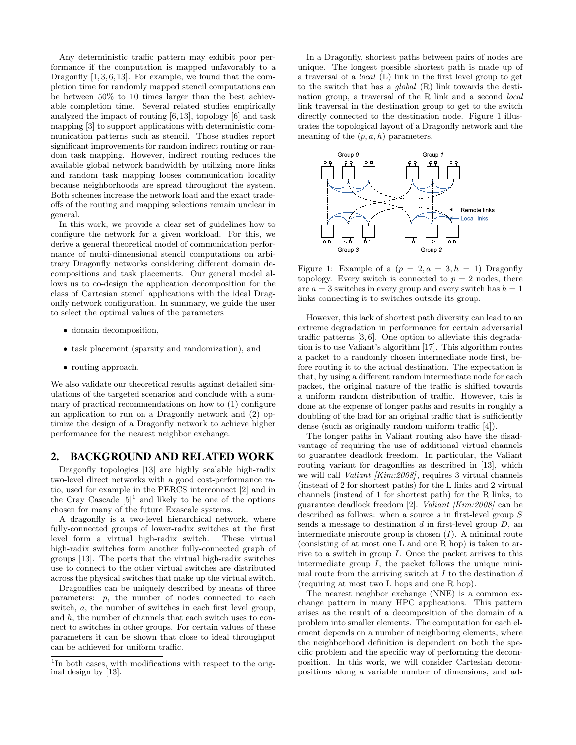Any deterministic traffic pattern may exhibit poor performance if the computation is mapped unfavorably to a Dragonfly [1, 3, 6, 13]. For example, we found that the completion time for randomly mapped stencil computations can be between 50% to 10 times larger than the best achievable completion time. Several related studies empirically analyzed the impact of routing [6, 13], topology [6] and task mapping [3] to support applications with deterministic communication patterns such as stencil. Those studies report significant improvements for random indirect routing or random task mapping. However, indirect routing reduces the available global network bandwidth by utilizing more links and random task mapping looses communication locality because neighborhoods are spread throughout the system. Both schemes increase the network load and the exact tradeoffs of the routing and mapping selections remain unclear in general.

In this work, we provide a clear set of guidelines how to configure the network for a given workload. For this, we derive a general theoretical model of communication performance of multi-dimensional stencil computations on arbitrary Dragonfly networks considering different domain decompositions and task placements. Our general model allows us to co-design the application decomposition for the class of Cartesian stencil applications with the ideal Dragonfly network configuration. In summary, we guide the user to select the optimal values of the parameters

- domain decomposition,
- task placement (sparsity and randomization), and
- routing approach.

We also validate our theoretical results against detailed simulations of the targeted scenarios and conclude with a summary of practical recommendations on how to (1) configure an application to run on a Dragonfly network and (2) optimize the design of a Dragonfly network to achieve higher performance for the nearest neighbor exchange.

## 2. BACKGROUND AND RELATED WORK

Dragonfly topologies [13] are highly scalable high-radix two-level direct networks with a good cost-performance ratio, used for example in the PERCS interconnect [2] and in the Cray Cascade  $[5]^1$  and likely to be one of the options chosen for many of the future Exascale systems.

A dragonfly is a two-level hierarchical network, where fully-connected groups of lower-radix switches at the first level form a virtual high-radix switch. These virtual high-radix switches form another fully-connected graph of groups [13]. The ports that the virtual high-radix switches use to connect to the other virtual switches are distributed across the physical switches that make up the virtual switch.

Dragonflies can be uniquely described by means of three parameters: p, the number of nodes connected to each switch, a, the number of switches in each first level group, and h, the number of channels that each switch uses to connect to switches in other groups. For certain values of these parameters it can be shown that close to ideal throughput can be achieved for uniform traffic.

In a Dragonfly, shortest paths between pairs of nodes are unique. The longest possible shortest path is made up of a traversal of a *local* (L) link in the first level group to get to the switch that has a *global* (R) link towards the destination group, a traversal of the R link and a second *local* link traversal in the destination group to get to the switch directly connected to the destination node. Figure 1 illustrates the topological layout of a Dragonfly network and the meaning of the  $(p, a, h)$  parameters.



Figure 1: Example of a  $(p = 2, a = 3, h = 1)$  Dragonfly topology. Every switch is connected to  $p = 2$  nodes, there are  $a = 3$  switches in every group and every switch has  $h = 1$ links connecting it to switches outside its group.

However, this lack of shortest path diversity can lead to an extreme degradation in performance for certain adversarial traffic patterns [3, 6]. One option to alleviate this degradation is to use Valiant's algorithm [17]. This algorithm routes a packet to a randomly chosen intermediate node first, before routing it to the actual destination. The expectation is that, by using a different random intermediate node for each packet, the original nature of the traffic is shifted towards a uniform random distribution of traffic. However, this is done at the expense of longer paths and results in roughly a doubling of the load for an original traffic that is sufficiently dense (such as originally random uniform traffic [4]).

The longer paths in Valiant routing also have the disadvantage of requiring the use of additional virtual channels to guarantee deadlock freedom. In particular, the Valiant routing variant for dragonflies as described in [13], which we will call *Valiant [Kim:2008]*, requires 3 virtual channels (instead of 2 for shortest paths) for the L links and 2 virtual channels (instead of 1 for shortest path) for the R links, to guarantee deadlock freedom [2]. *Valiant [Kim:2008]* can be described as follows: when a source s in first-level group S sends a message to destination  $d$  in first-level group  $D$ , and intermediate misroute group is chosen  $(I)$ . A minimal route (consisting of at most one L and one R hop) is taken to arrive to a switch in group I. Once the packet arrives to this intermediate group  $I$ , the packet follows the unique minimal route from the arriving switch at  $I$  to the destination  $d$ (requiring at most two L hops and one R hop).

The nearest neighbor exchange (NNE) is a common exchange pattern in many HPC applications. This pattern arises as the result of a decomposition of the domain of a problem into smaller elements. The computation for each element depends on a number of neighboring elements, where the neighborhood definition is dependent on both the specific problem and the specific way of performing the decomposition. In this work, we will consider Cartesian decompositions along a variable number of dimensions, and ad-

<sup>&</sup>lt;sup>1</sup>In both cases, with modifications with respect to the original design by [13].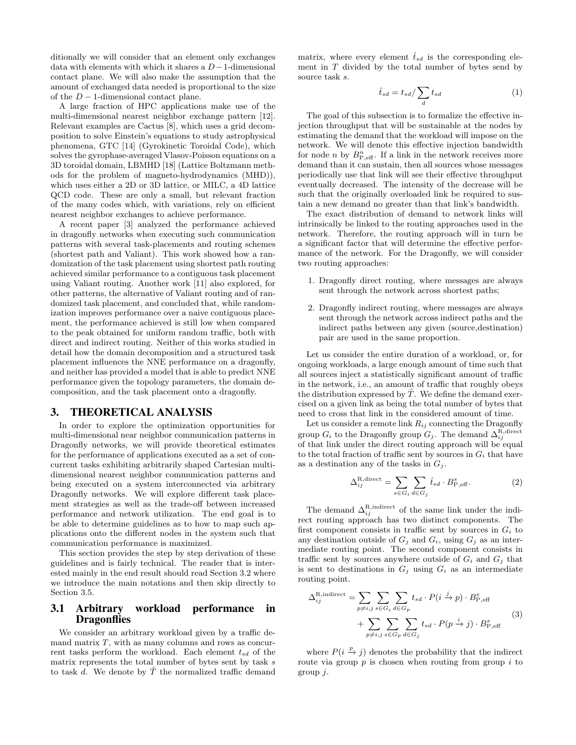ditionally we will consider that an element only exchanges data with elements with which it shares a D−1-dimensional contact plane. We will also make the assumption that the amount of exchanged data needed is proportional to the size of the  $D-1$ -dimensional contact plane.

A large fraction of HPC applications make use of the multi-dimensional nearest neighbor exchange pattern [12]. Relevant examples are Cactus [8], which uses a grid decomposition to solve Einstein's equations to study astrophysical phenomena, GTC [14] (Gyrokinetic Toroidal Code), which solves the gyrophase-averaged Vlasov-Poisson equations on a 3D toroidal domain, LBMHD [18] (Lattice Boltzmann methods for the problem of magneto-hydrodynamics (MHD)), which uses either a 2D or 3D lattice, or MILC, a 4D lattice QCD code. These are only a small, but relevant fraction of the many codes which, with variations, rely on efficient nearest neighbor exchanges to achieve performance.

A recent paper [3] analyzed the performance achieved in dragonfly networks when executing such communication patterns with several task-placements and routing schemes (shortest path and Valiant). This work showed how a randomization of the task placement using shortest path routing achieved similar performance to a contiguous task placement using Valiant routing. Another work [11] also explored, for other patterns, the alternative of Valiant routing and of randomized task placement, and concluded that, while randomization improves performance over a naive contiguous placement, the performance achieved is still low when compared to the peak obtained for uniform random traffic, both with direct and indirect routing. Neither of this works studied in detail how the domain decomposition and a structured task placement influences the NNE performance on a dragonfly, and neither has provided a model that is able to predict NNE performance given the topology parameters, the domain decomposition, and the task placement onto a dragonfly.

### 3. THEORETICAL ANALYSIS

In order to explore the optimization opportunities for multi-dimensional near neighbor communication patterns in Dragonfly networks, we will provide theoretical estimates for the performance of applications executed as a set of concurrent tasks exhibiting arbitrarily shaped Cartesian multidimensional nearest neighbor communication patterns and being executed on a system interconnected via arbitrary Dragonfly networks. We will explore different task placement strategies as well as the trade-off between increased performance and network utilization. The end goal is to be able to determine guidelines as to how to map such applications onto the different nodes in the system such that communication performance is maximized.

This section provides the step by step derivation of these guidelines and is fairly technical. The reader that is interested mainly in the end result should read Section 3.2 where we introduce the main notations and then skip directly to Section 3.5.

## 3.1 Arbitrary workload performance in **Dragonflies**

We consider an arbitrary workload given by a traffic demand matrix  $T$ , with as many columns and rows as concurrent tasks perform the workload. Each element  $t_{sd}$  of the matrix represents the total number of bytes sent by task  $s$ to task d. We denote by  $\hat{T}$  the normalized traffic demand

matrix, where every element  $\hat{t}_{sd}$  is the corresponding element in  $T$  divided by the total number of bytes send by source task s.

$$
\hat{t}_{sd} = t_{sd} / \sum_{d} t_{sd} \tag{1}
$$

The goal of this subsection is to formalize the effective injection throughput that will be sustainable at the nodes by estimating the demand that the workload will impose on the network. We will denote this effective injection bandwidth for node *n* by  $B_{\text{P,eff}}^{n}$ . If a link in the network receives more demand than it can sustain, then all sources whose messages periodically use that link will see their effective throughput eventually decreased. The intensity of the decrease will be such that the originally overloaded link be required to sustain a new demand no greater than that link's bandwidth.

The exact distribution of demand to network links will intrinsically be linked to the routing approaches used in the network. Therefore, the routing approach will in turn be a significant factor that will determine the effective performance of the network. For the Dragonfly, we will consider two routing approaches:

- 1. Dragonfly direct routing, where messages are always sent through the network across shortest paths;
- 2. Dragonfly indirect routing, where messages are always sent through the network across indirect paths and the indirect paths between any given (source,destination) pair are used in the same proportion.

Let us consider the entire duration of a workload, or, for ongoing workloads, a large enough amount of time such that all sources inject a statistically significant amount of traffic in the network, i.e., an amount of traffic that roughly obeys the distribution expressed by  $T$ . We define the demand exercised on a given link as being the total number of bytes that need to cross that link in the considered amount of time.

Let us consider a remote link  $R_{ij}$  connecting the Dragonfly group  $G_i$  to the Dragonfly group  $G_j$ . The demand  $\Delta_{ij}^{\rm R,direct}$ of that link under the direct routing approach will be equal to the total fraction of traffic sent by sources in  $G_i$  that have as a destination any of the tasks in  $G_i$ .

$$
\Delta_{ij}^{\text{R,direct}} = \sum_{s \in G_i} \sum_{d \in G_j} \hat{t}_{sd} \cdot B_{\text{P,eff}}^s.
$$
 (2)

The demand  $\Delta_{ij}^{\rm R,indirect}$  of the same link under the indirect routing approach has two distinct components. The first component consists in traffic sent by sources in  $G_i$  to any destination outside of  $G_j$  and  $G_i$ , using  $G_j$  as an intermediate routing point. The second component consists in traffic sent by sources anywhere outside of  $G_i$  and  $G_j$  that is sent to destinations in  $G_j$  using  $G_i$  as an intermediate routing point.

$$
\Delta_{ij}^{\text{R,indirect}} = \sum_{p \neq i,j} \sum_{s \in G_i} \sum_{d \in G_p} t_{sd} \cdot P(i \xrightarrow{j} p) \cdot B_{\text{P,eff}}^s
$$
\n
$$
+ \sum_{p \neq i,j} \sum_{s \in G_p} \sum_{d \in G_j} t_{sd} \cdot P(p \xrightarrow{i} j) \cdot B_{\text{P,eff}}^s \tag{3}
$$

where  $P(i \stackrel{p}{\rightarrow} j)$  denotes the probability that the indirect route via group  $p$  is chosen when routing from group  $i$  to group j.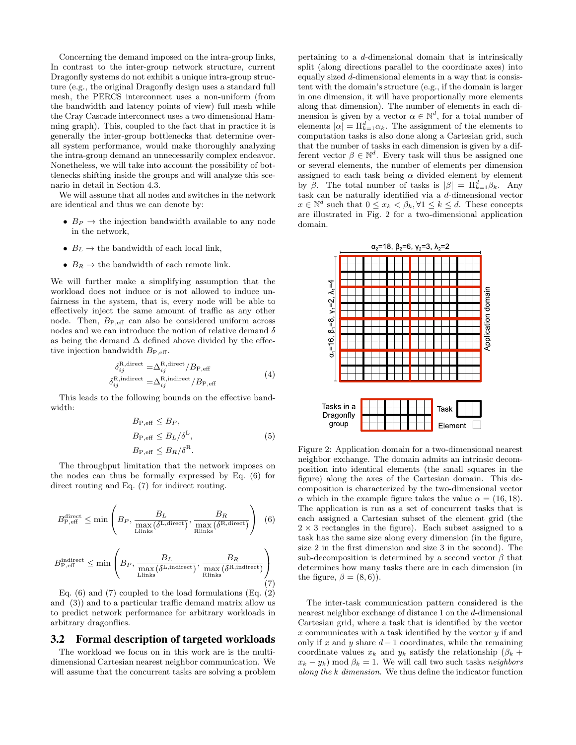Concerning the demand imposed on the intra-group links, In contrast to the inter-group network structure, current Dragonfly systems do not exhibit a unique intra-group structure (e.g., the original Dragonfly design uses a standard full mesh, the PERCS interconnect uses a non-uniform (from the bandwidth and latency points of view) full mesh while the Cray Cascade interconnect uses a two dimensional Hamming graph). This, coupled to the fact that in practice it is generally the inter-group bottlenecks that determine overall system performance, would make thoroughly analyzing the intra-group demand an unnecessarily complex endeavor. Nonetheless, we will take into account the possibility of bottlenecks shifting inside the groups and will analyze this scenario in detail in Section 4.3.

We will assume that all nodes and switches in the network are identical and thus we can denote by:

- $B_P \rightarrow$  the injection bandwidth available to any node in the network,
- $B_L \rightarrow$  the bandwidth of each local link,
- $B_R \rightarrow$  the bandwidth of each remote link.

We will further make a simplifying assumption that the workload does not induce or is not allowed to induce unfairness in the system, that is, every node will be able to effectively inject the same amount of traffic as any other node. Then, B<sup>P</sup>,eff can also be considered uniform across nodes and we can introduce the notion of relative demand  $\delta$ as being the demand  $\Delta$  defined above divided by the effective injection bandwidth  $B_{\text{P,eff}}$ .

$$
\delta_{ij}^{\text{R,direct}} = \Delta_{ij}^{\text{R,direct}} / B_{\text{P,eff}}
$$
\n
$$
\delta_{ij}^{\text{R, indirect}} = \Delta_{ij}^{\text{R, indirect}} / B_{\text{P,eff}}
$$
\n(4)

This leads to the following bounds on the effective bandwidth:

$$
B_{\text{P,eff}} \leq B_P,
$$
  
\n
$$
B_{\text{P,eff}} \leq B_L/\delta^L,
$$
  
\n
$$
B_{\text{P,eff}} \leq B_R/\delta^R.
$$
\n(5)

The throughput limitation that the network imposes on the nodes can thus be formally expressed by Eq. (6) for direct routing and Eq. (7) for indirect routing.

$$
B_{\text{P,eff}}^{\text{direct}} \le \min \left( B_P, \frac{B_L}{\max_{\text{Llinks}} (\delta^{\text{L,direct}})}, \frac{B_R}{\max_{\text{Rlinks}} (\delta^{\text{R,direct}})} \right) (6)
$$
  

$$
B_{\text{P,eff}}^{\text{indirect}} \le \min \left( B_P, \frac{B_L}{\max_{\text{Llinks}} (\delta^{\text{L,indirect}})}, \frac{B_R}{\max_{\text{Rlinks}} (\delta^{\text{R,indirect}})} \right) (7)
$$

Eq.  $(6)$  and  $(7)$  coupled to the load formulations  $(Eq. (2)$ and (3)) and to a particular traffic demand matrix allow us to predict network performance for arbitrary workloads in arbitrary dragonflies.

# 3.2 Formal description of targeted workloads

The workload we focus on in this work are is the multidimensional Cartesian nearest neighbor communication. We will assume that the concurrent tasks are solving a problem pertaining to a d-dimensional domain that is intrinsically split (along directions parallel to the coordinate axes) into equally sized d-dimensional elements in a way that is consistent with the domain's structure (e.g., if the domain is larger in one dimension, it will have proportionally more elements along that dimension). The number of elements in each dimension is given by a vector  $\alpha \in \mathbb{N}^d$ , for a total number of elements  $|\alpha| = \prod_{k=1}^d \alpha_k$ . The assignment of the elements to computation tasks is also done along a Cartesian grid, such that the number of tasks in each dimension is given by a different vector  $\beta \in \mathbb{N}^d$ . Every task will thus be assigned one or several elements, the number of elements per dimension assigned to each task being  $\alpha$  divided element by element by  $\beta$ . The total number of tasks is  $|\beta| = \prod_{k=1}^d \beta_k$ . Any task can be naturally identified via a d-dimensional vector  $x \in \mathbb{N}^d$  such that  $0 \le x_k < \beta_k, \forall 1 \le k \le d$ . These concepts are illustrated in Fig. 2 for a two-dimensional application domain.



Figure 2: Application domain for a two-dimensional nearest neighbor exchange. The domain admits an intrinsic decomposition into identical elements (the small squares in the figure) along the axes of the Cartesian domain. This decomposition is characterized by the two-dimensional vector  $\alpha$  which in the example figure takes the value  $\alpha = (16, 18)$ . The application is run as a set of concurrent tasks that is each assigned a Cartesian subset of the element grid (the  $2 \times 3$  rectangles in the figure). Each subset assigned to a task has the same size along every dimension (in the figure, size 2 in the first dimension and size 3 in the second). The sub-decomposition is determined by a second vector  $\beta$  that determines how many tasks there are in each dimension (in the figure,  $\beta = (8, 6)$ .

The inter-task communication pattern considered is the nearest neighbor exchange of distance 1 on the d-dimensional Cartesian grid, where a task that is identified by the vector  $x$  communicates with a task identified by the vector  $y$  if and only if x and y share  $d-1$  coordinates, while the remaining coordinate values  $x_k$  and  $y_k$  satisfy the relationship  $(\beta_k +$  $x_k - y_k$ ) mod  $\beta_k = 1$ . We will call two such tasks *neighbors along the* k *dimension*. We thus define the indicator function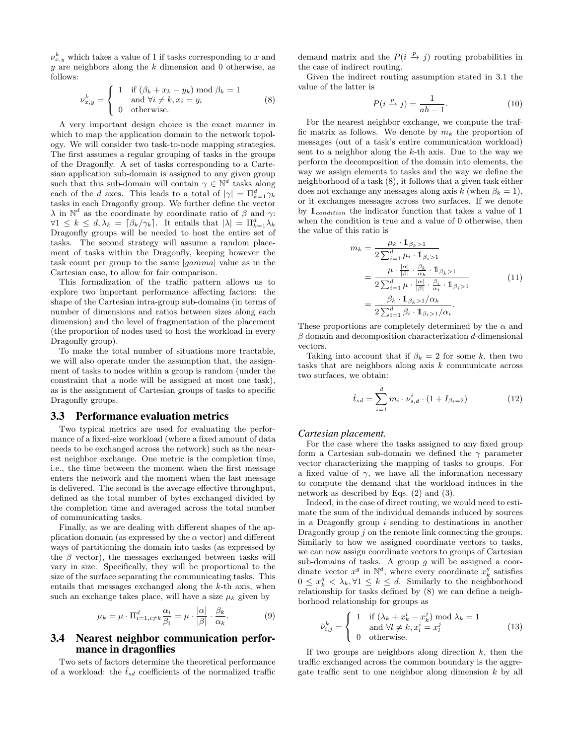$\nu_{x,y}^k$  which takes a value of 1 if tasks corresponding to x and  $y$  are neighbors along the  $k$  dimension and 0 otherwise, as follows:

$$
\nu_{x,y}^k = \begin{cases}\n1 & \text{if } (\beta_k + x_k - y_k) \text{ mod } \beta_k = 1 \\
\text{and } \forall i \neq k, x_i = y_i \\
0 & \text{otherwise.} \n\end{cases} \tag{8}
$$

A very important design choice is the exact manner in which to map the application domain to the network topology. We will consider two task-to-node mapping strategies. The first assumes a regular grouping of tasks in the groups of the Dragonfly. A set of tasks corresponding to a Cartesian application sub-domain is assigned to any given group such that this sub-domain will contain  $\gamma \in \mathbb{N}^d$  tasks along each of the d axes. This leads to a total of  $|\gamma| = \prod_{k=1}^d \gamma_k$ tasks in each Dragonfly group. We further define the vector  $\lambda$  in  $\mathbb{N}^d$  as the coordinate by coordinate ratio of  $\beta$  and  $\gamma$ :  $\forall 1 \leq k \leq d, \lambda_k = \lceil \beta_k / \gamma_k \rceil$ . It entails that  $|\lambda| = \prod_{k=1}^d \lambda_k$ Dragonfly groups will be needed to host the entire set of tasks. The second strategy will assume a random placement of tasks within the Dragonfly, keeping however the task count per group to the same |gamma| value as in the Cartesian case, to allow for fair comparison.

This formalization of the traffic pattern allows us to explore two important performance affecting factors: the shape of the Cartesian intra-group sub-domains (in terms of number of dimensions and ratios between sizes along each dimension) and the level of fragmentation of the placement (the proportion of nodes used to host the workload in every Dragonfly group).

To make the total number of situations more tractable, we will also operate under the assumption that, the assignment of tasks to nodes within a group is random (under the constraint that a node will be assigned at most one task), as is the assignment of Cartesian groups of tasks to specific Dragonfly groups.

#### 3.3 Performance evaluation metrics

Two typical metrics are used for evaluating the performance of a fixed-size workload (where a fixed amount of data needs to be exchanged across the network) such as the nearest neighbor exchange. One metric is the completion time, i.e., the time between the moment when the first message enters the network and the moment when the last message is delivered. The second is the average effective throughput, defined as the total number of bytes exchanged divided by the completion time and averaged across the total number of communicating tasks.

Finally, as we are dealing with different shapes of the application domain (as expressed by the  $\alpha$  vector) and different ways of partitioning the domain into tasks (as expressed by the  $\beta$  vector), the messages exchanged between tasks will vary in size. Specifically, they will be proportional to the size of the surface separating the communicating tasks. This entails that messages exchanged along the k-th axis, when such an exchange takes place, will have a size  $\mu_k$  given by

$$
\mu_k = \mu \cdot \Pi_{i=1, i \neq k}^d \frac{\alpha_i}{\beta_i} = \mu \cdot \frac{|\alpha|}{|\beta|} \cdot \frac{\beta_k}{\alpha_k}.
$$
 (9)

## 3.4 Nearest neighbor communication performance in dragonflies

Two sets of factors determine the theoretical performance of a workload: the  $\hat{t}_{sd}$  coefficients of the normalized traffic

demand matrix and the  $P(i \xrightarrow{p} j)$  routing probabilities in the case of indirect routing.

Given the indirect routing assumption stated in 3.1 the value of the latter is

$$
P(i \xrightarrow{p} j) = \frac{1}{ah - 1}.
$$
 (10)

For the nearest neighbor exchange, we compute the traffic matrix as follows. We denote by  $m_k$  the proportion of messages (out of a task's entire communication workload) sent to a neighbor along the k-th axis. Due to the way we perform the decomposition of the domain into elements, the way we assign elements to tasks and the way we define the neighborhood of a task (8), it follows that a given task either does not exchange any messages along axis k (when  $\beta_k = 1$ ), or it exchanges messages across two surfaces. If we denote by  $\mathbb{1}_{condition}$  the indicator function that takes a value of 1 when the condition is true and a value of 0 otherwise, then the value of this ratio is

$$
m_k = \frac{\mu_k \cdot \mathbb{1}_{\beta_k > 1}}{2 \sum_{i=1}^d \mu_i \cdot \mathbb{1}_{\beta_i > 1}}
$$
\n
$$
= \frac{\mu \cdot \frac{|\alpha|}{|\beta|} \cdot \frac{\beta_k}{\alpha_k} \cdot \mathbb{1}_{\beta_k > 1}}{2 \sum_{i=1}^d \mu \cdot \frac{|\alpha|}{|\beta|} \cdot \frac{\beta_i}{\alpha_i} \cdot \mathbb{1}_{\beta_i > 1}}
$$
\n
$$
= \frac{\beta_k \cdot \mathbb{1}_{\beta_k > 1/\alpha_k}}{2 \sum_{i=1}^d \beta_i \cdot \mathbb{1}_{\beta_i > 1/\alpha_i}}.
$$
\n
$$
(11)
$$

These proportions are completely determined by the  $\alpha$  and  $\beta$  domain and decomposition characterization d-dimensional vectors.

Taking into account that if  $\beta_k = 2$  for some k, then two tasks that are neighbors along axis  $k$  communicate across two surfaces, we obtain:

$$
\hat{t}_{sd} = \sum_{i=1}^{d} m_i \cdot \nu_{s,d}^i \cdot (1 + I_{\beta_i = 2}) \tag{12}
$$

#### *Cartesian placement.*

For the case where the tasks assigned to any fixed group form a Cartesian sub-domain we defined the  $\gamma$  parameter vector characterizing the mapping of tasks to groups. For a fixed value of  $\gamma$ , we have all the information necessary to compute the demand that the workload induces in the network as described by Eqs. (2) and (3).

Indeed, in the case of direct routing, we would need to estimate the sum of the individual demands induced by sources in a Dragonfly group  $i$  sending to destinations in another Dragonfly group  $j$  on the remote link connecting the groups. Similarly to how we assigned coordinate vectors to tasks, we can now assign coordinate vectors to groups of Cartesian sub-domains of tasks. A group  $g$  will be assigned a coordinate vector  $x^g$  in  $\mathbb{N}^d$ , where every coordinate  $x^g_k$  satisfies  $0 \leq x_k^g < \lambda_k, \forall 1 \leq k \leq d.$  Similarly to the neighborhood relationship for tasks defined by (8) we can define a neighborhood relationship for groups as

$$
\tilde{\nu}_{i,j}^k = \begin{cases}\n1 & \text{if } (\lambda_k + x_k^i - x_k^j) \text{ mod } \lambda_k = 1 \\
\text{ and } \forall l \neq k, x_l^i = x_l^j\n\end{cases}
$$
\n(13)

If two groups are neighbors along direction  $k$ , then the traffic exchanged across the common boundary is the aggregate traffic sent to one neighbor along dimension  $k$  by all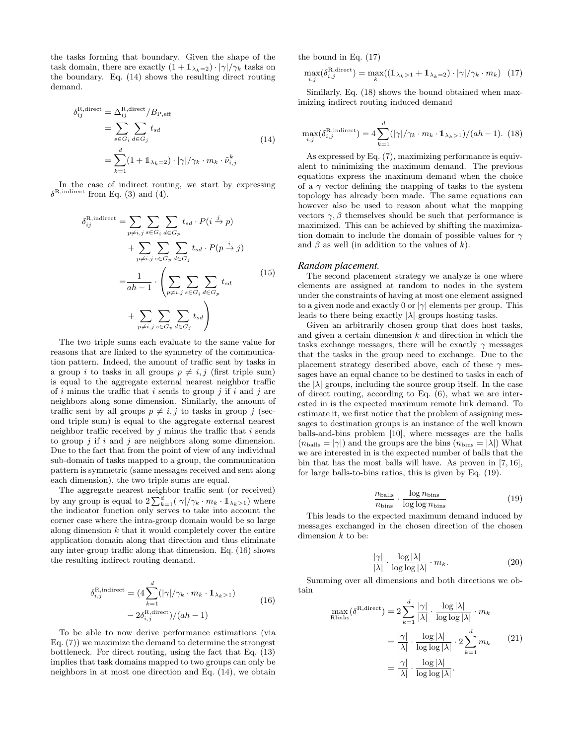the tasks forming that boundary. Given the shape of the task domain, there are exactly  $(1 + \mathbb{1}_{\lambda_k=2}) \cdot |\gamma| / \gamma_k$  tasks on the boundary. Eq. (14) shows the resulting direct routing demand.

$$
\delta_{ij}^{\text{R,direct}} = \Delta_{ij}^{\text{R,direct}} / B_{\text{P,eff}}
$$
  
= 
$$
\sum_{s \in G_i} \sum_{d \in G_j} t_{sd}
$$
  
= 
$$
\sum_{k=1}^d (1 + 1_{\lambda_k = 2}) \cdot |\gamma| / \gamma_k \cdot m_k \cdot \tilde{\nu}_{i,j}^k
$$
 (14)

In the case of indirect routing, we start by expressing  $\delta^{\rm R, indirect}$  from Eq. (3) and (4).

$$
\delta_{ij}^{\text{R,indirect}} = \sum_{p \neq i,j} \sum_{s \in G_i} \sum_{d \in G_p} t_{sd} \cdot P(i \xrightarrow{j} p)
$$

$$
+ \sum_{p \neq i,j} \sum_{s \in G_p} \sum_{d \in G_j} t_{sd} \cdot P(p \xrightarrow{i} j)
$$

$$
= \frac{1}{ah - 1} \cdot \left( \sum_{p \neq i,j} \sum_{s \in G_i} \sum_{d \in G_p} t_{sd} \right)
$$
(15)
$$
+ \sum_{p \neq i,j} \sum_{s \in G_p} \sum_{d \in G_j} t_{sd} \right)
$$

The two triple sums each evaluate to the same value for reasons that are linked to the symmetry of the communication pattern. Indeed, the amount of traffic sent by tasks in a group i to tasks in all groups  $p \neq i, j$  (first triple sum) is equal to the aggregate external nearest neighbor traffic of i minus the traffic that i sends to group j if i and j are neighbors along some dimension. Similarly, the amount of traffic sent by all groups  $p \neq i, j$  to tasks in group j (second triple sum) is equal to the aggregate external nearest neighbor traffic received by  $j$  minus the traffic that  $i$  sends to group  $j$  if  $i$  and  $j$  are neighbors along some dimension. Due to the fact that from the point of view of any individual sub-domain of tasks mapped to a group, the communication pattern is symmetric (same messages received and sent along each dimension), the two triple sums are equal.

The aggregate nearest neighbor traffic sent (or received) by any group is equal to  $2\sum_{k=1}^{d}(|\gamma|/\gamma_k \cdot m_k \cdot \mathbb{1}_{\lambda_k>1})$  where the indicator function only serves to take into account the corner case where the intra-group domain would be so large along dimension  $k$  that it would completely cover the entire application domain along that direction and thus eliminate any inter-group traffic along that dimension. Eq. (16) shows the resulting indirect routing demand.

$$
\delta_{i,j}^{\text{R,indirect}} = (4 \sum_{k=1}^{d} (|\gamma| / \gamma_k \cdot m_k \cdot \mathbb{1}_{\lambda_k > 1})
$$

$$
- 2 \delta_{i,j}^{\text{R,direct}})/(ah - 1)
$$
(16)

To be able to now derive performance estimations (via Eq. (7)) we maximize the demand to determine the strongest bottleneck. For direct routing, using the fact that Eq. (13) implies that task domains mapped to two groups can only be neighbors in at most one direction and Eq. (14), we obtain the bound in Eq. (17)

$$
\max_{i,j}(\delta_{i,j}^{\text{R,direct}}) = \max_{k}((1_{\lambda_k>1} + 1_{\lambda_k=2}) \cdot |\gamma|/\gamma_k \cdot m_k)
$$
 (17)

Similarly, Eq. (18) shows the bound obtained when maximizing indirect routing induced demand

$$
\max_{i,j}(\delta_{i,j}^{\text{R,indirect}}) = 4 \sum_{k=1}^{d} (|\gamma|/\gamma_k \cdot m_k \cdot \mathbb{1}_{\lambda_k > 1})/(ah-1). \tag{18}
$$

As expressed by Eq. (7), maximizing performance is equivalent to minimizing the maximum demand. The previous equations express the maximum demand when the choice of a  $\gamma$  vector defining the mapping of tasks to the system topology has already been made. The same equations can however also be used to reason about what the mapping vectors  $\gamma$ ,  $\beta$  themselves should be such that performance is maximized. This can be achieved by shifting the maximization domain to include the domain of possible values for  $\gamma$ and  $\beta$  as well (in addition to the values of k).

## *Random placement.*

The second placement strategy we analyze is one where elements are assigned at random to nodes in the system under the constraints of having at most one element assigned to a given node and exactly 0 or  $|\gamma|$  elements per group. This leads to there being exactly  $|\lambda|$  groups hosting tasks.

Given an arbitrarily chosen group that does host tasks, and given a certain dimension  $k$  and direction in which the tasks exchange messages, there will be exactly  $\gamma$  messages that the tasks in the group need to exchange. Due to the placement strategy described above, each of these  $\gamma$  messages have an equal chance to be destined to tasks in each of the  $|\lambda|$  groups, including the source group itself. In the case of direct routing, according to Eq. (6), what we are interested in is the expected maximum remote link demand. To estimate it, we first notice that the problem of assigning messages to destination groups is an instance of the well known balls-and-bins problem [10], where messages are the balls  $(n_{\text{balls}} = |\gamma|)$  and the groups are the bins  $(n_{\text{bins}} = |\lambda|)$  What we are interested in is the expected number of balls that the bin that has the most balls will have. As proven in [7, 16], for large balls-to-bins ratios, this is given by Eq. (19).

$$
\frac{n_{\text{balls}}}{n_{\text{bins}}} \cdot \frac{\log n_{\text{bins}}}{\log \log n_{\text{bins}}} \tag{19}
$$

This leads to the expected maximum demand induced by messages exchanged in the chosen direction of the chosen dimension  $k$  to be:

$$
\frac{|\gamma|}{|\lambda|} \cdot \frac{\log|\lambda|}{\log \log |\lambda|} \cdot m_k. \tag{20}
$$

Summing over all dimensions and both directions we obtain

$$
\max_{\text{Rlinks}} (\delta^{\text{R,direct}}) = 2 \sum_{k=1}^{d} \frac{|\gamma|}{|\lambda|} \cdot \frac{\log |\lambda|}{\log \log |\lambda|} \cdot m_k
$$

$$
= \frac{|\gamma|}{|\lambda|} \cdot \frac{\log |\lambda|}{\log \log |\lambda|} \cdot 2 \sum_{k=1}^{d} m_k \qquad (21)
$$

$$
= \frac{|\gamma|}{|\lambda|} \cdot \frac{\log |\lambda|}{\log \log |\lambda|}.
$$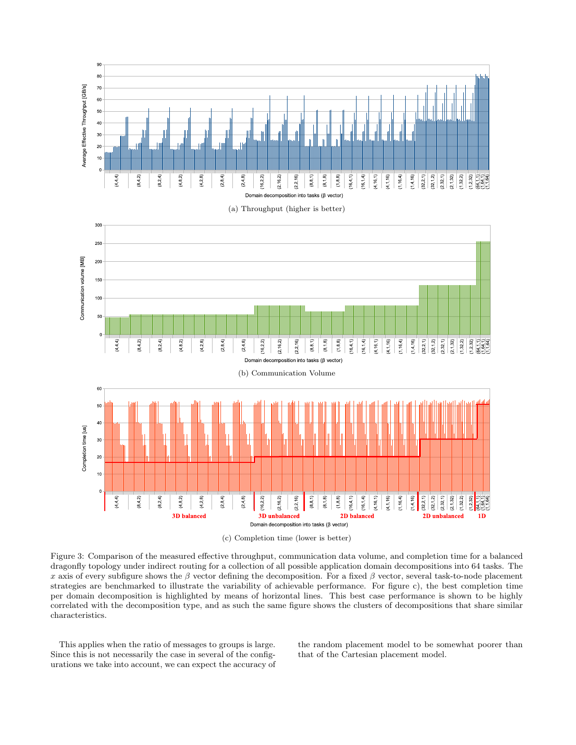

Figure 3: Comparison of the measured effective throughput, communication data volume, and completion time for a balanced dragonfly topology under indirect routing for a collection of all possible application domain decompositions into 64 tasks. The x axis of every subfigure shows the β vector defining the decomposition. For a fixed β vector, several task-to-node placement strategies are benchmarked to illustrate the variability of achievable performance. For figure c), the best completion time per domain decomposition is highlighted by means of horizontal lines. This best case performance is shown to be highly correlated with the decomposition type, and as such the same figure shows the clusters of decompositions that share similar characteristics.

This applies when the ratio of messages to groups is large. Since this is not necessarily the case in several of the configurations we take into account, we can expect the accuracy of the random placement model to be somewhat poorer than that of the Cartesian placement model.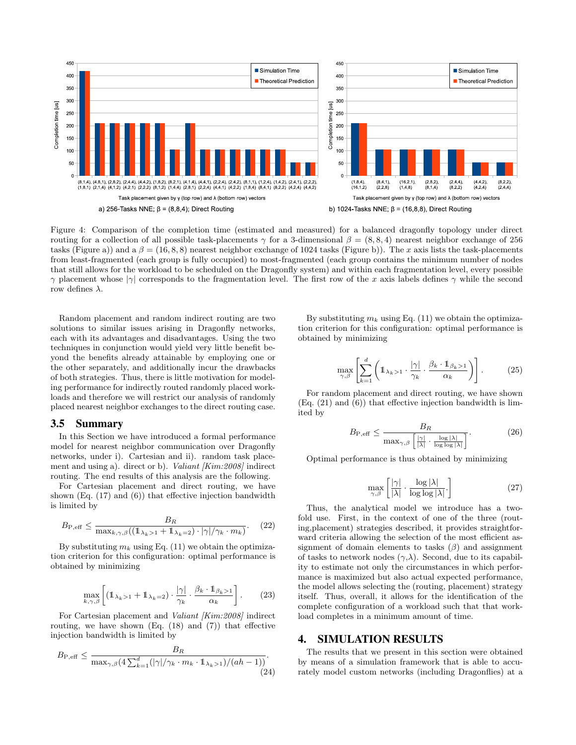

Figure 4: Comparison of the completion time (estimated and measured) for a balanced dragonfly topology under direct routing for a collection of all possible task-placements  $\gamma$  for a 3-dimensional  $\beta = (8, 8, 4)$  nearest neighbor exchange of 256 tasks (Figure a)) and a  $\beta = (16, 8, 8)$  nearest neighbor exchange of 1024 tasks (Figure b)). The x axis lists the task-placements from least-fragmented (each group is fully occupied) to most-fragmented (each group contains the minimum number of nodes that still allows for the workload to be scheduled on the Dragonfly system) and within each fragmentation level, every possible  $γ$  placement whose  $|γ|$  corresponds to the fragmentation level. The first row of the x axis labels defines γ while the second row defines  $\lambda$ .

Random placement and random indirect routing are two solutions to similar issues arising in Dragonfly networks, each with its advantages and disadvantages. Using the two techniques in conjunction would yield very little benefit beyond the benefits already attainable by employing one or the other separately, and additionally incur the drawbacks of both strategies. Thus, there is little motivation for modeling performance for indirectly routed randomly placed workloads and therefore we will restrict our analysis of randomly placed nearest neighbor exchanges to the direct routing case.

#### 3.5 Summary

In this Section we have introduced a formal performance model for nearest neighbor communication over Dragonfly networks, under i). Cartesian and ii). random task placement and using a). direct or b). *Valiant [Kim:2008]* indirect routing. The end results of this analysis are the following.

For Cartesian placement and direct routing, we have shown (Eq. (17) and (6)) that effective injection bandwidth is limited by

$$
B_{\rm P,eff} \le \frac{B_R}{\max_{k,\gamma,\beta}((1_{\lambda_k>1} + 1_{\lambda_k=2}) \cdot |\gamma|/\gamma_k \cdot m_k)}.\tag{22}
$$

By substituting  $m_k$  using Eq. (11) we obtain the optimization criterion for this configuration: optimal performance is obtained by minimizing

$$
\max_{k,\gamma,\beta} \left[ \left( \mathbb{1}_{\lambda_k > 1} + \mathbb{1}_{\lambda_k = 2} \right) \cdot \frac{|\gamma|}{\gamma_k} \cdot \frac{\beta_k \cdot \mathbb{1}_{\beta_k > 1}}{\alpha_k} \right]. \tag{23}
$$

For Cartesian placement and *Valiant [Kim:2008]* indirect routing, we have shown  $(Eq. (18)$  and  $(7))$  that effective injection bandwidth is limited by

$$
B_{\rm P, eff} \le \frac{B_R}{\max_{\gamma,\beta} \left(4 \sum_{k=1}^d (|\gamma|/\gamma_k \cdot m_k \cdot \mathbb{1}_{\lambda_k > 1}\right) / (ah - 1)\right)}.
$$
\n(24)

By substituting  $m_k$  using Eq. (11) we obtain the optimization criterion for this configuration: optimal performance is obtained by minimizing

$$
\max_{\gamma,\beta} \left[ \sum_{k=1}^d \left( 1\!\!1_{\lambda_k > 1} \cdot \frac{|\gamma|}{\gamma_k} \cdot \frac{\beta_k \cdot 1\!\!1_{\beta_k > 1}}{\alpha_k} \right) \right]. \tag{25}
$$

For random placement and direct routing, we have shown (Eq. (21) and (6)) that effective injection bandwidth is limited by

$$
B_{\rm P,eff} \le \frac{B_R}{\max_{\gamma,\beta} \left[ \frac{|\gamma|}{|\lambda|} \cdot \frac{\log |\lambda|}{\log \log |\lambda|} \right]}. \tag{26}
$$

Optimal performance is thus obtained by minimizing

$$
\max_{\gamma,\beta} \left[ \frac{|\gamma|}{|\lambda|} \cdot \frac{\log |\lambda|}{\log \log |\lambda|} \right] \tag{27}
$$

Thus, the analytical model we introduce has a twofold use. First, in the context of one of the three (routing,placement) strategies described, it provides straightforward criteria allowing the selection of the most efficient assignment of domain elements to tasks  $(\beta)$  and assignment of tasks to network nodes  $(\gamma, \lambda)$ . Second, due to its capability to estimate not only the circumstances in which performance is maximized but also actual expected performance, the model allows selecting the (routing, placement) strategy itself. Thus, overall, it allows for the identification of the complete configuration of a workload such that that workload completes in a minimum amount of time.

# 4. SIMULATION RESULTS

The results that we present in this section were obtained by means of a simulation framework that is able to accurately model custom networks (including Dragonflies) at a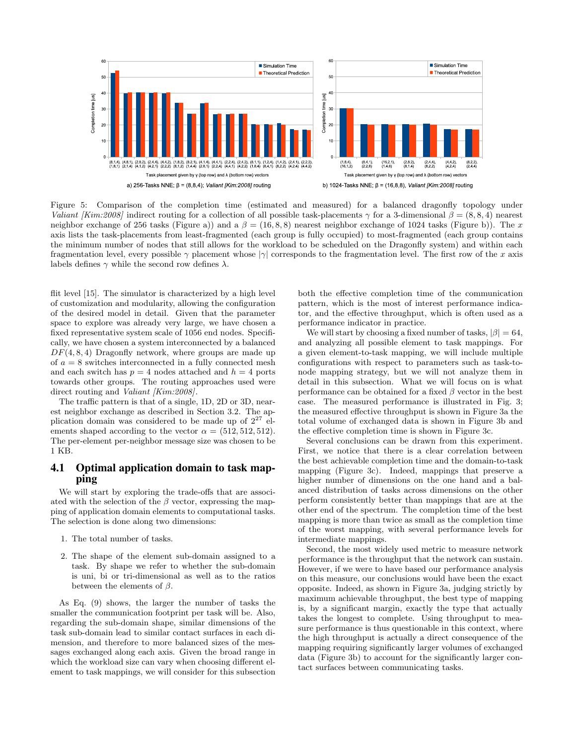

Figure 5: Comparison of the completion time (estimated and measured) for a balanced dragonfly topology under *Valiant [Kim:2008]* indirect routing for a collection of all possible task-placements  $\gamma$  for a 3-dimensional  $\beta = (8, 8, 4)$  nearest neighbor exchange of 256 tasks (Figure a)) and a  $\beta = (16, 8, 8)$  nearest neighbor exchange of 1024 tasks (Figure b)). The x axis lists the task-placements from least-fragmented (each group is fully occupied) to most-fragmented (each group contains the minimum number of nodes that still allows for the workload to be scheduled on the Dragonfly system) and within each fragmentation level, every possible  $\gamma$  placement whose  $|\gamma|$  corresponds to the fragmentation level. The first row of the x axis labels defines  $\gamma$  while the second row defines  $\lambda$ .

flit level [15]. The simulator is characterized by a high level of customization and modularity, allowing the configuration of the desired model in detail. Given that the parameter space to explore was already very large, we have chosen a fixed representative system scale of 1056 end nodes. Specifically, we have chosen a system interconnected by a balanced  $DF(4, 8, 4)$  Dragonfly network, where groups are made up of  $a = 8$  switches interconnected in a fully connected mesh and each switch has  $p = 4$  nodes attached and  $h = 4$  ports towards other groups. The routing approaches used were direct routing and *Valiant [Kim:2008]*.

The traffic pattern is that of a single, 1D, 2D or 3D, nearest neighbor exchange as described in Section 3.2. The application domain was considered to be made up of  $2^{27}$  elements shaped according to the vector  $\alpha = (512, 512, 512)$ . The per-element per-neighbor message size was chosen to be 1 KB.

# 4.1 Optimal application domain to task mapping

We will start by exploring the trade-offs that are associated with the selection of the  $\beta$  vector, expressing the mapping of application domain elements to computational tasks. The selection is done along two dimensions:

- 1. The total number of tasks.
- 2. The shape of the element sub-domain assigned to a task. By shape we refer to whether the sub-domain is uni, bi or tri-dimensional as well as to the ratios between the elements of  $\beta$ .

As Eq. (9) shows, the larger the number of tasks the smaller the communication footprint per task will be. Also, regarding the sub-domain shape, similar dimensions of the task sub-domain lead to similar contact surfaces in each dimension, and therefore to more balanced sizes of the messages exchanged along each axis. Given the broad range in which the workload size can vary when choosing different element to task mappings, we will consider for this subsection

both the effective completion time of the communication pattern, which is the most of interest performance indicator, and the effective throughput, which is often used as a performance indicator in practice.

We will start by choosing a fixed number of tasks,  $|\beta| = 64$ , and analyzing all possible element to task mappings. For a given element-to-task mapping, we will include multiple configurations with respect to parameters such as task-tonode mapping strategy, but we will not analyze them in detail in this subsection. What we will focus on is what performance can be obtained for a fixed  $\beta$  vector in the best case. The measured performance is illustrated in Fig. 3; the measured effective throughput is shown in Figure 3a the total volume of exchanged data is shown in Figure 3b and the effective completion time is shown in Figure 3c.

Several conclusions can be drawn from this experiment. First, we notice that there is a clear correlation between the best achievable completion time and the domain-to-task mapping (Figure 3c). Indeed, mappings that preserve a higher number of dimensions on the one hand and a balanced distribution of tasks across dimensions on the other perform consistently better than mappings that are at the other end of the spectrum. The completion time of the best mapping is more than twice as small as the completion time of the worst mapping, with several performance levels for intermediate mappings.

Second, the most widely used metric to measure network performance is the throughput that the network can sustain. However, if we were to have based our performance analysis on this measure, our conclusions would have been the exact opposite. Indeed, as shown in Figure 3a, judging strictly by maximum achievable throughput, the best type of mapping is, by a significant margin, exactly the type that actually takes the longest to complete. Using throughput to measure performance is thus questionable in this context, where the high throughput is actually a direct consequence of the mapping requiring significantly larger volumes of exchanged data (Figure 3b) to account for the significantly larger contact surfaces between communicating tasks.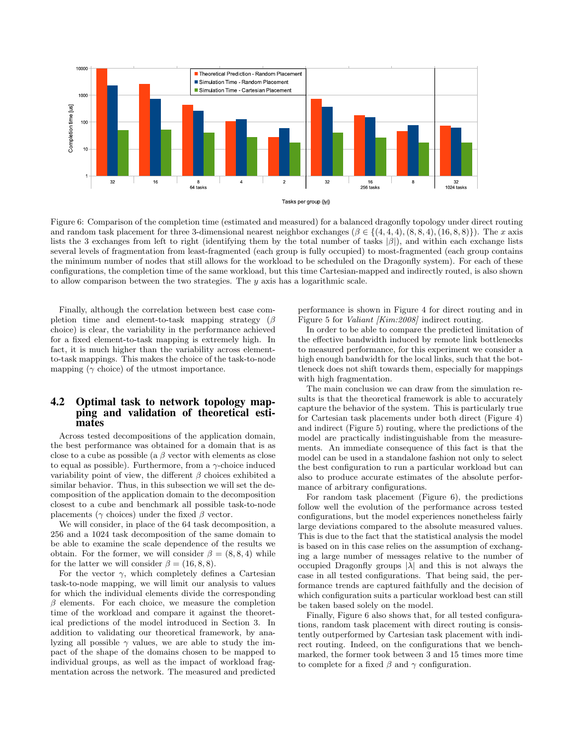

Figure 6: Comparison of the completion time (estimated and measured) for a balanced dragonfly topology under direct routing and random task placement for three 3-dimensional nearest neighbor exchanges  $(\beta \in \{(4, 4, 4), (8, 8, 4), (16, 8, 8)\})$ . The x axis lists the 3 exchanges from left to right (identifying them by the total number of tasks  $|\beta|$ ), and within each exchange lists several levels of fragmentation from least-fragmented (each group is fully occupied) to most-fragmented (each group contains the minimum number of nodes that still allows for the workload to be scheduled on the Dragonfly system). For each of these configurations, the completion time of the same workload, but this time Cartesian-mapped and indirectly routed, is also shown to allow comparison between the two strategies. The  $y$  axis has a logarithmic scale.

Finally, although the correlation between best case completion time and element-to-task mapping strategy  $(\beta)$ choice) is clear, the variability in the performance achieved for a fixed element-to-task mapping is extremely high. In fact, it is much higher than the variability across elementto-task mappings. This makes the choice of the task-to-node mapping ( $\gamma$  choice) of the utmost importance.

# 4.2 Optimal task to network topology mapping and validation of theoretical estimates

Across tested decompositions of the application domain, the best performance was obtained for a domain that is as close to a cube as possible (a  $\beta$  vector with elements as close to equal as possible). Furthermore, from a  $\gamma$ -choice induced variability point of view, the different  $\beta$  choices exhibited a similar behavior. Thus, in this subsection we will set the decomposition of the application domain to the decomposition closest to a cube and benchmark all possible task-to-node placements ( $\gamma$  choices) under the fixed  $\beta$  vector.

We will consider, in place of the 64 task decomposition, a 256 and a 1024 task decomposition of the same domain to be able to examine the scale dependence of the results we obtain. For the former, we will consider  $\beta = (8, 8, 4)$  while for the latter we will consider  $\beta = (16, 8, 8)$ .

For the vector  $\gamma$ , which completely defines a Cartesian task-to-node mapping, we will limit our analysis to values for which the individual elements divide the corresponding  $\beta$  elements. For each choice, we measure the completion time of the workload and compare it against the theoretical predictions of the model introduced in Section 3. In addition to validating our theoretical framework, by analyzing all possible  $\gamma$  values, we are able to study the impact of the shape of the domains chosen to be mapped to individual groups, as well as the impact of workload fragmentation across the network. The measured and predicted

performance is shown in Figure 4 for direct routing and in Figure 5 for *Valiant [Kim:2008]* indirect routing.

In order to be able to compare the predicted limitation of the effective bandwidth induced by remote link bottlenecks to measured performance, for this experiment we consider a high enough bandwidth for the local links, such that the bottleneck does not shift towards them, especially for mappings with high fragmentation.

The main conclusion we can draw from the simulation results is that the theoretical framework is able to accurately capture the behavior of the system. This is particularly true for Cartesian task placements under both direct (Figure 4) and indirect (Figure 5) routing, where the predictions of the model are practically indistinguishable from the measurements. An immediate consequence of this fact is that the model can be used in a standalone fashion not only to select the best configuration to run a particular workload but can also to produce accurate estimates of the absolute performance of arbitrary configurations.

For random task placement (Figure 6), the predictions follow well the evolution of the performance across tested configurations, but the model experiences nonetheless fairly large deviations compared to the absolute measured values. This is due to the fact that the statistical analysis the model is based on in this case relies on the assumption of exchanging a large number of messages relative to the number of occupied Dragonfly groups  $|\lambda|$  and this is not always the case in all tested configurations. That being said, the performance trends are captured faithfully and the decision of which configuration suits a particular workload best can still be taken based solely on the model.

Finally, Figure 6 also shows that, for all tested configurations, random task placement with direct routing is consistently outperformed by Cartesian task placement with indirect routing. Indeed, on the configurations that we benchmarked, the former took between 3 and 15 times more time to complete for a fixed  $\beta$  and  $\gamma$  configuration.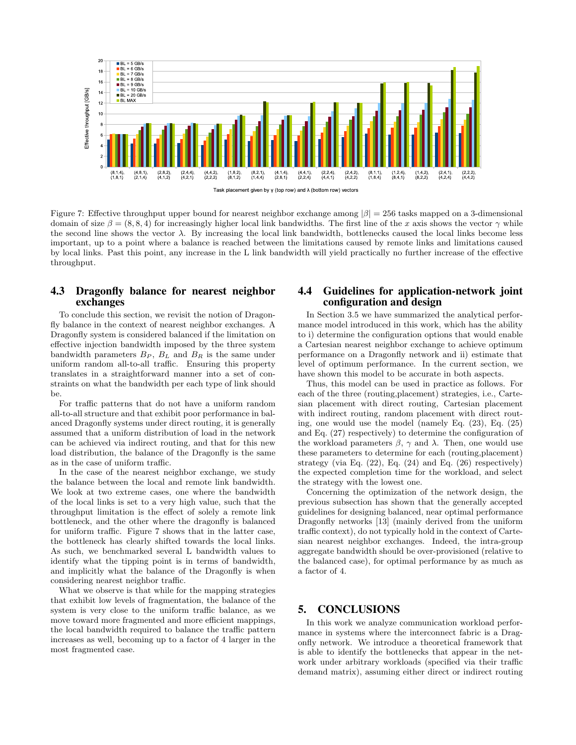

Figure 7: Effective throughput upper bound for nearest neighbor exchange among  $|\beta| = 256$  tasks mapped on a 3-dimensional domain of size  $\beta = (8, 8, 4)$  for increasingly higher local link bandwidths. The first line of the x axis shows the vector  $\gamma$  while the second line shows the vector  $\lambda$ . By increasing the local link bandwidth, bottlenecks caused the local links become less important, up to a point where a balance is reached between the limitations caused by remote links and limitations caused by local links. Past this point, any increase in the L link bandwidth will yield practically no further increase of the effective throughput.

# 4.3 Dragonfly balance for nearest neighbor exchanges

To conclude this section, we revisit the notion of Dragonfly balance in the context of nearest neighbor exchanges. A Dragonfly system is considered balanced if the limitation on effective injection bandwidth imposed by the three system bandwidth parameters  $B_P$ ,  $B_L$  and  $B_R$  is the same under uniform random all-to-all traffic. Ensuring this property translates in a straightforward manner into a set of constraints on what the bandwidth per each type of link should be.

For traffic patterns that do not have a uniform random all-to-all structure and that exhibit poor performance in balanced Dragonfly systems under direct routing, it is generally assumed that a uniform distribution of load in the network can be achieved via indirect routing, and that for this new load distribution, the balance of the Dragonfly is the same as in the case of uniform traffic.

In the case of the nearest neighbor exchange, we study the balance between the local and remote link bandwidth. We look at two extreme cases, one where the bandwidth of the local links is set to a very high value, such that the throughput limitation is the effect of solely a remote link bottleneck, and the other where the dragonfly is balanced for uniform traffic. Figure 7 shows that in the latter case, the bottleneck has clearly shifted towards the local links. As such, we benchmarked several L bandwidth values to identify what the tipping point is in terms of bandwidth, and implicitly what the balance of the Dragonfly is when considering nearest neighbor traffic.

What we observe is that while for the mapping strategies that exhibit low levels of fragmentation, the balance of the system is very close to the uniform traffic balance, as we move toward more fragmented and more efficient mappings, the local bandwidth required to balance the traffic pattern increases as well, becoming up to a factor of 4 larger in the most fragmented case.

# 4.4 Guidelines for application-network joint configuration and design

In Section 3.5 we have summarized the analytical performance model introduced in this work, which has the ability to i) determine the configuration options that would enable a Cartesian nearest neighbor exchange to achieve optimum performance on a Dragonfly network and ii) estimate that level of optimum performance. In the current section, we have shown this model to be accurate in both aspects.

Thus, this model can be used in practice as follows. For each of the three (routing,placement) strategies, i.e., Cartesian placement with direct routing, Cartesian placement with indirect routing, random placement with direct routing, one would use the model (namely Eq. (23), Eq. (25) and Eq. (27) respectively) to determine the configuration of the workload parameters  $\beta$ ,  $\gamma$  and  $\lambda$ . Then, one would use these parameters to determine for each (routing,placement) strategy (via Eq. (22), Eq. (24) and Eq. (26) respectively) the expected completion time for the workload, and select the strategy with the lowest one.

Concerning the optimization of the network design, the previous subsection has shown that the generally accepted guidelines for designing balanced, near optimal performance Dragonfly networks [13] (mainly derived from the uniform traffic context), do not typically hold in the context of Cartesian nearest neighbor exchanges. Indeed, the intra-group aggregate bandwidth should be over-provisioned (relative to the balanced case), for optimal performance by as much as a factor of 4.

# 5. CONCLUSIONS

In this work we analyze communication workload performance in systems where the interconnect fabric is a Dragonfly network. We introduce a theoretical framework that is able to identify the bottlenecks that appear in the network under arbitrary workloads (specified via their traffic demand matrix), assuming either direct or indirect routing